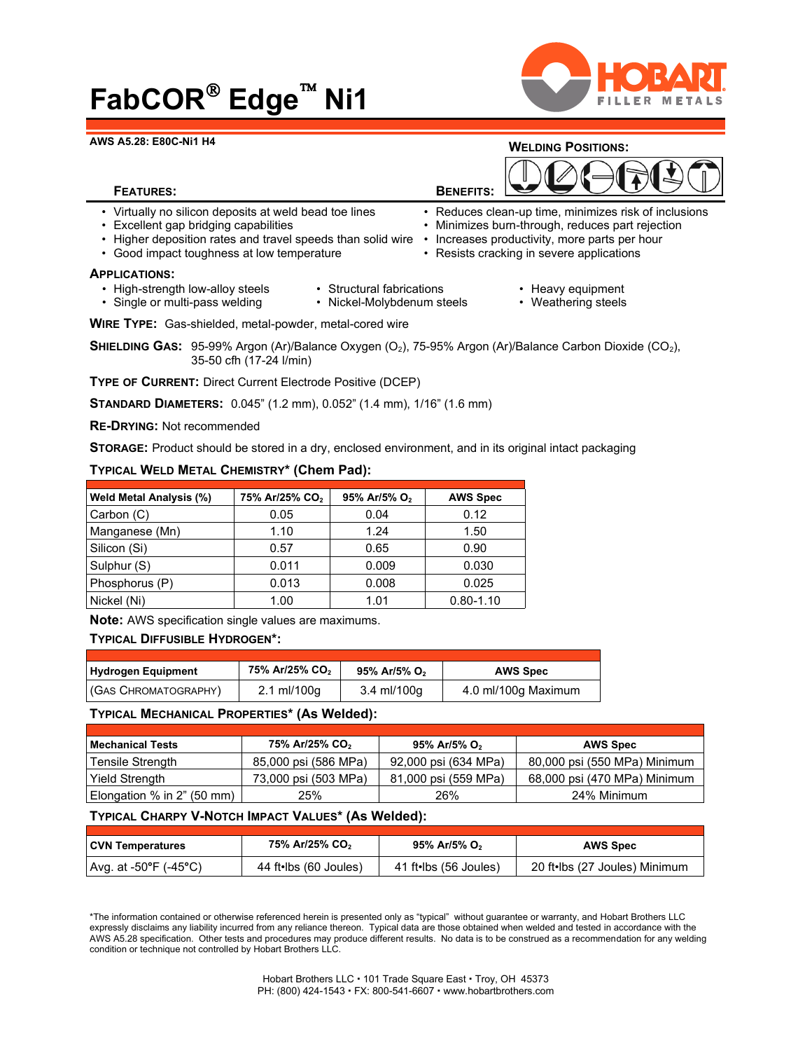# **FabCOR Edge Ni1**



#### **AWS A5.28: E80C-Ni1 H4**



- Virtually no silicon deposits at weld bead toe lines Reduces clean-up time, minimizes risk of inclusions<br>• Excellent gap bridging capabilities Minimizes burn-through, reduces part rejection
- 
- Higher deposition rates and travel speeds than solid wire Increases productivity, more parts per hour
- Good impact toughness at low temperature **•** Resists cracking in severe applications

#### **APPLICATIONS:**

- High-strength low-alloy steels Structural fabrications Heavy equipment
- 
- 

• Minimizes burn-through, reduces part rejection

• Single or multi-pass welding • Nickel-Molybdenum steels • Weathering steels

**WIRE TYPE:** Gas-shielded, metal-powder, metal-cored wire

**SHIELDING GAS:** 95-99% Argon (Ar)/Balance Oxygen (O<sub>2</sub>), 75-95% Argon (Ar)/Balance Carbon Dioxide (CO<sub>2</sub>), 35-50 cfh (17-24 l/min)

**TYPE OF CURRENT:** Direct Current Electrode Positive (DCEP)

**STANDARD DIAMETERS:** 0.045" (1.2 mm), 0.052" (1.4 mm), 1/16" (1.6 mm)

**RE-DRYING:** Not recommended

**STORAGE:** Product should be stored in a dry, enclosed environment, and in its original intact packaging

## **TYPICAL WELD METAL CHEMISTRY\* (Chem Pad):**

| <b>Weld Metal Analysis (%)</b> | 75% Ar/25% CO <sub>2</sub> | 95% Ar/5% O <sub>2</sub> | <b>AWS Spec</b> |
|--------------------------------|----------------------------|--------------------------|-----------------|
| Carbon (C)                     | 0.05                       | 0.04                     | 0.12            |
| Manganese (Mn)                 | 1.10                       | 1.24                     | 1.50            |
| Silicon (Si)                   | 0.57                       | 0.65                     | 0.90            |
| Sulphur (S)                    | 0.011                      | 0.009                    | 0.030           |
| Phosphorus (P)                 | 0.013                      | 0.008                    | 0.025           |
| Nickel (Ni)                    | 1.00                       | 1.01                     | $0.80 - 1.10$   |

**Note:** AWS specification single values are maximums.

# **TYPICAL DIFFUSIBLE HYDROGEN\*:**

| <b>Hydrogen Equipment</b> | 75% Ar/25% CO <sub>2</sub> | 95% Ar/5% O <sub>2</sub> | <b>AWS Spec</b>     |
|---------------------------|----------------------------|--------------------------|---------------------|
| (GAS CHROMATOGRAPHY)      | $2.1 \text{ ml}/100q$      | 3.4 ml/100q              | 4.0 ml/100g Maximum |

## **TYPICAL MECHANICAL PROPERTIES\* (As Welded):**

| <b>Mechanical Tests</b>        | 75% Ar/25% CO <sub>2</sub> | 95% Ar/5% O <sub>2</sub> | <b>AWS Spec</b>              |
|--------------------------------|----------------------------|--------------------------|------------------------------|
| Tensile Strength               | 85,000 psi (586 MPa)       | 92,000 psi (634 MPa)     | 80,000 psi (550 MPa) Minimum |
| Yield Strength                 | 73,000 psi (503 MPa)       | 81,000 psi (559 MPa)     | 68,000 psi (470 MPa) Minimum |
| Elongation $%$ in $2"$ (50 mm) | 25%                        | 26%                      | 24% Minimum                  |

# **TYPICAL CHARPY V-NOTCH IMPACT VALUES\* (As Welded):**

| <b>CVN Temperatures</b> | 75% Ar/25% CO <sub>2</sub> | 95% Ar/5% O <sub>2</sub> | <b>AWS Spec</b>               |
|-------------------------|----------------------------|--------------------------|-------------------------------|
| Avg. at -50°F (-45°C)   | 44 ft•lbs (60 Joules)      | 41 ft•lbs (56 Joules)    | 20 ft•lbs (27 Joules) Minimum |

\*The information contained or otherwise referenced herein is presented only as "typical" without guarantee or warranty, and Hobart Brothers LLC expressly disclaims any liability incurred from any reliance thereon. Typical data are those obtained when welded and tested in accordance with the AWS A5.28 specification. Other tests and procedures may produce different results. No data is to be construed as a recommendation for any welding condition or technique not controlled by Hobart Brothers LLC.